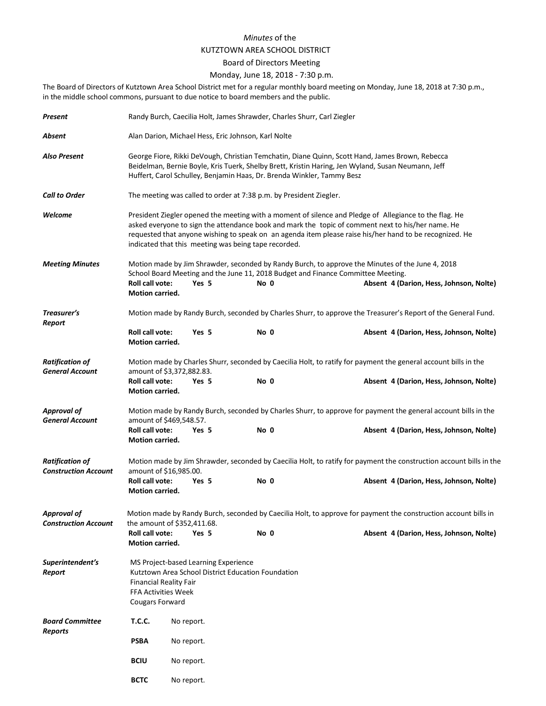## *Minutes* of the KUTZTOWN AREA SCHOOL DISTRICT

## Board of Directors Meeting

## Monday, June 18, 2018 - 7:30 p.m.

The Board of Directors of Kutztown Area School District met for a regular monthly board meeting on Monday, June 18, 2018 at 7:30 p.m., in the middle school commons, pursuant to due notice to board members and the public.

| Present                                               |                                                                                                                                                                                                                                                                                                                                                                                | Randy Burch, Caecilia Holt, James Shrawder, Charles Shurr, Carl Ziegler                                       |       |      |  |                                                                                                                                                                                      |                                         |  |  |
|-------------------------------------------------------|--------------------------------------------------------------------------------------------------------------------------------------------------------------------------------------------------------------------------------------------------------------------------------------------------------------------------------------------------------------------------------|---------------------------------------------------------------------------------------------------------------|-------|------|--|--------------------------------------------------------------------------------------------------------------------------------------------------------------------------------------|-----------------------------------------|--|--|
| Absent                                                | Alan Darion, Michael Hess, Eric Johnson, Karl Nolte                                                                                                                                                                                                                                                                                                                            |                                                                                                               |       |      |  |                                                                                                                                                                                      |                                         |  |  |
| Also Present                                          | George Fiore, Rikki DeVough, Christian Temchatin, Diane Quinn, Scott Hand, James Brown, Rebecca<br>Beidelman, Bernie Boyle, Kris Tuerk, Shelby Brett, Kristin Haring, Jen Wyland, Susan Neumann, Jeff<br>Huffert, Carol Schulley, Benjamin Haas, Dr. Brenda Winkler, Tammy Besz                                                                                                |                                                                                                               |       |      |  |                                                                                                                                                                                      |                                         |  |  |
| <b>Call to Order</b>                                  | The meeting was called to order at 7:38 p.m. by President Ziegler.                                                                                                                                                                                                                                                                                                             |                                                                                                               |       |      |  |                                                                                                                                                                                      |                                         |  |  |
| Welcome                                               | President Ziegler opened the meeting with a moment of silence and Pledge of Allegiance to the flag. He<br>asked everyone to sign the attendance book and mark the topic of comment next to his/her name. He<br>requested that anyone wishing to speak on an agenda item please raise his/her hand to be recognized. He<br>indicated that this meeting was being tape recorded. |                                                                                                               |       |      |  |                                                                                                                                                                                      |                                         |  |  |
| <b>Meeting Minutes</b>                                | Roll call vote:<br><b>Motion carried.</b>                                                                                                                                                                                                                                                                                                                                      |                                                                                                               | Yes 5 | No 0 |  | Motion made by Jim Shrawder, seconded by Randy Burch, to approve the Minutes of the June 4, 2018<br>School Board Meeting and the June 11, 2018 Budget and Finance Committee Meeting. | Absent 4 (Darion, Hess, Johnson, Nolte) |  |  |
| Treasurer's<br>Report                                 |                                                                                                                                                                                                                                                                                                                                                                                | Motion made by Randy Burch, seconded by Charles Shurr, to approve the Treasurer's Report of the General Fund. |       |      |  |                                                                                                                                                                                      |                                         |  |  |
|                                                       | Roll call vote:<br><b>Motion carried.</b>                                                                                                                                                                                                                                                                                                                                      |                                                                                                               | Yes 5 | No 0 |  |                                                                                                                                                                                      | Absent 4 (Darion, Hess, Johnson, Nolte) |  |  |
| <b>Ratification of</b><br><b>General Account</b>      | Motion made by Charles Shurr, seconded by Caecilia Holt, to ratify for payment the general account bills in the<br>amount of \$3,372,882.83.                                                                                                                                                                                                                                   |                                                                                                               |       |      |  |                                                                                                                                                                                      |                                         |  |  |
|                                                       | <b>Roll call vote:</b><br>Motion carried.                                                                                                                                                                                                                                                                                                                                      |                                                                                                               | Yes 5 | No 0 |  |                                                                                                                                                                                      | Absent 4 (Darion, Hess, Johnson, Nolte) |  |  |
| <b>Approval of</b><br><b>General Account</b>          | Motion made by Randy Burch, seconded by Charles Shurr, to approve for payment the general account bills in the<br>amount of \$469,548.57.                                                                                                                                                                                                                                      |                                                                                                               |       |      |  |                                                                                                                                                                                      |                                         |  |  |
|                                                       | Roll call vote:<br>Motion carried.                                                                                                                                                                                                                                                                                                                                             |                                                                                                               | Yes 5 | No 0 |  |                                                                                                                                                                                      | Absent 4 (Darion, Hess, Johnson, Nolte) |  |  |
| <b>Ratification of</b><br><b>Construction Account</b> | Motion made by Jim Shrawder, seconded by Caecilia Holt, to ratify for payment the construction account bills in the<br>amount of \$16,985.00.                                                                                                                                                                                                                                  |                                                                                                               |       |      |  |                                                                                                                                                                                      |                                         |  |  |
|                                                       | Roll call vote:<br><b>Motion carried.</b>                                                                                                                                                                                                                                                                                                                                      |                                                                                                               | Yes 5 | No 0 |  |                                                                                                                                                                                      | Absent 4 (Darion, Hess, Johnson, Nolte) |  |  |
| <b>Approval of</b><br><b>Construction Account</b>     | Motion made by Randy Burch, seconded by Caecilia Holt, to approve for payment the construction account bills in<br>the amount of \$352,411.68.                                                                                                                                                                                                                                 |                                                                                                               |       |      |  |                                                                                                                                                                                      |                                         |  |  |
|                                                       | <b>Roll call vote:</b><br>Motion carried.                                                                                                                                                                                                                                                                                                                                      |                                                                                                               | Yes 5 | No 0 |  |                                                                                                                                                                                      | Absent 4 (Darion, Hess, Johnson, Nolte) |  |  |
| Superintendent's<br>Report                            | MS Project-based Learning Experience<br>Kutztown Area School District Education Foundation<br><b>Financial Reality Fair</b><br><b>FFA Activities Week</b><br>Cougars Forward                                                                                                                                                                                                   |                                                                                                               |       |      |  |                                                                                                                                                                                      |                                         |  |  |
| <b>Board Committee</b><br>Reports                     | <b>T.C.C.</b>                                                                                                                                                                                                                                                                                                                                                                  | No report.                                                                                                    |       |      |  |                                                                                                                                                                                      |                                         |  |  |
|                                                       | <b>PSBA</b>                                                                                                                                                                                                                                                                                                                                                                    | No report.                                                                                                    |       |      |  |                                                                                                                                                                                      |                                         |  |  |
|                                                       | <b>BCIU</b>                                                                                                                                                                                                                                                                                                                                                                    | No report.                                                                                                    |       |      |  |                                                                                                                                                                                      |                                         |  |  |
|                                                       | <b>BCTC</b>                                                                                                                                                                                                                                                                                                                                                                    | No report.                                                                                                    |       |      |  |                                                                                                                                                                                      |                                         |  |  |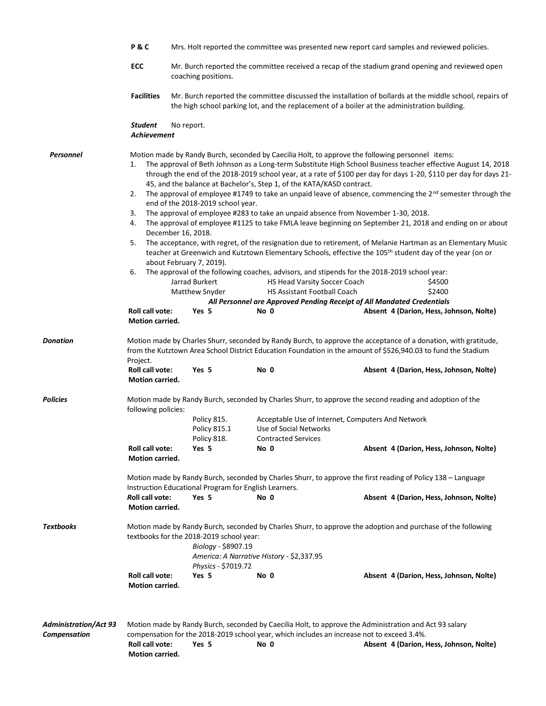|                                                     | P&C                                                                                                                                                                                                                                                 | Mrs. Holt reported the committee was presented new report card samples and reviewed policies.                                                                                                            |                                                                                                                                              |                                                                                                                                                                                                                                                                                                                                                                 |                                                                                                                                                                                                                                                                                                                                                                                                                                                                                                                                                                                                                                                                                                                                                                      |  |  |  |  |
|-----------------------------------------------------|-----------------------------------------------------------------------------------------------------------------------------------------------------------------------------------------------------------------------------------------------------|----------------------------------------------------------------------------------------------------------------------------------------------------------------------------------------------------------|----------------------------------------------------------------------------------------------------------------------------------------------|-----------------------------------------------------------------------------------------------------------------------------------------------------------------------------------------------------------------------------------------------------------------------------------------------------------------------------------------------------------------|----------------------------------------------------------------------------------------------------------------------------------------------------------------------------------------------------------------------------------------------------------------------------------------------------------------------------------------------------------------------------------------------------------------------------------------------------------------------------------------------------------------------------------------------------------------------------------------------------------------------------------------------------------------------------------------------------------------------------------------------------------------------|--|--|--|--|
|                                                     | ECC                                                                                                                                                                                                                                                 | Mr. Burch reported the committee received a recap of the stadium grand opening and reviewed open<br>coaching positions.                                                                                  |                                                                                                                                              |                                                                                                                                                                                                                                                                                                                                                                 |                                                                                                                                                                                                                                                                                                                                                                                                                                                                                                                                                                                                                                                                                                                                                                      |  |  |  |  |
|                                                     | <b>Facilities</b>                                                                                                                                                                                                                                   | Mr. Burch reported the committee discussed the installation of bollards at the middle school, repairs of<br>the high school parking lot, and the replacement of a boiler at the administration building. |                                                                                                                                              |                                                                                                                                                                                                                                                                                                                                                                 |                                                                                                                                                                                                                                                                                                                                                                                                                                                                                                                                                                                                                                                                                                                                                                      |  |  |  |  |
|                                                     | Student<br>Achievement                                                                                                                                                                                                                              | No report.                                                                                                                                                                                               |                                                                                                                                              |                                                                                                                                                                                                                                                                                                                                                                 |                                                                                                                                                                                                                                                                                                                                                                                                                                                                                                                                                                                                                                                                                                                                                                      |  |  |  |  |
| Personnel                                           | 1.<br>2.<br>3.<br>4.<br>5.<br>6.<br>Roll call vote:<br>Motion carried.                                                                                                                                                                              | end of the 2018-2019 school year.<br>December 16, 2018.<br>about February 7, 2019).<br>Jarrad Burkert<br>Matthew Snyder<br>Yes 5                                                                         | 45, and the balance at Bachelor's, Step 1, of the KATA/KASD contract.<br>HS Head Varsity Soccer Coach<br>HS Assistant Football Coach<br>No 0 | Motion made by Randy Burch, seconded by Caecilia Holt, to approve the following personnel items:<br>The approval of employee #283 to take an unpaid absence from November 1-30, 2018.<br>The approval of the following coaches, advisors, and stipends for the 2018-2019 school year:<br>All Personnel are Approved Pending Receipt of All Mandated Credentials | The approval of Beth Johnson as a Long-term Substitute High School Business teacher effective August 14, 2018<br>through the end of the 2018-2019 school year, at a rate of \$100 per day for days 1-20, \$110 per day for days 21-<br>The approval of employee #1749 to take an unpaid leave of absence, commencing the 2 <sup>nd</sup> semester through the<br>The approval of employee #1125 to take FMLA leave beginning on September 21, 2018 and ending on or about<br>The acceptance, with regret, of the resignation due to retirement, of Melanie Hartman as an Elementary Music<br>teacher at Greenwich and Kutztown Elementary Schools, effective the 105th student day of the year (on or<br>\$4500<br>\$2400<br>Absent 4 (Darion, Hess, Johnson, Nolte) |  |  |  |  |
| <b>Donation</b>                                     | Motion made by Charles Shurr, seconded by Randy Burch, to approve the acceptance of a donation, with gratitude,<br>from the Kutztown Area School District Education Foundation in the amount of \$526,940.03 to fund the Stadium<br>Project.        |                                                                                                                                                                                                          |                                                                                                                                              |                                                                                                                                                                                                                                                                                                                                                                 |                                                                                                                                                                                                                                                                                                                                                                                                                                                                                                                                                                                                                                                                                                                                                                      |  |  |  |  |
|                                                     | Roll call vote:<br>Motion carried.                                                                                                                                                                                                                  | Yes 5                                                                                                                                                                                                    | No 0                                                                                                                                         |                                                                                                                                                                                                                                                                                                                                                                 | Absent 4 (Darion, Hess, Johnson, Nolte)                                                                                                                                                                                                                                                                                                                                                                                                                                                                                                                                                                                                                                                                                                                              |  |  |  |  |
| <b>Policies</b>                                     | Motion made by Randy Burch, seconded by Charles Shurr, to approve the second reading and adoption of the<br>following policies:                                                                                                                     |                                                                                                                                                                                                          |                                                                                                                                              |                                                                                                                                                                                                                                                                                                                                                                 |                                                                                                                                                                                                                                                                                                                                                                                                                                                                                                                                                                                                                                                                                                                                                                      |  |  |  |  |
|                                                     |                                                                                                                                                                                                                                                     | Policy 815.<br>Policy 815.1<br>Policy 818.                                                                                                                                                               | Use of Social Networks<br><b>Contracted Services</b>                                                                                         | Acceptable Use of Internet, Computers And Network                                                                                                                                                                                                                                                                                                               |                                                                                                                                                                                                                                                                                                                                                                                                                                                                                                                                                                                                                                                                                                                                                                      |  |  |  |  |
|                                                     | Roll call vote:<br>Motion carried.                                                                                                                                                                                                                  | Yes 5                                                                                                                                                                                                    | No 0                                                                                                                                         |                                                                                                                                                                                                                                                                                                                                                                 | Absent 4 (Darion, Hess, Johnson, Nolte)                                                                                                                                                                                                                                                                                                                                                                                                                                                                                                                                                                                                                                                                                                                              |  |  |  |  |
|                                                     | Motion made by Randy Burch, seconded by Charles Shurr, to approve the first reading of Policy 138 - Language<br>Instruction Educational Program for English Learners.                                                                               |                                                                                                                                                                                                          |                                                                                                                                              |                                                                                                                                                                                                                                                                                                                                                                 |                                                                                                                                                                                                                                                                                                                                                                                                                                                                                                                                                                                                                                                                                                                                                                      |  |  |  |  |
|                                                     | Roll call vote:<br>Motion carried.                                                                                                                                                                                                                  | Yes 5                                                                                                                                                                                                    | No 0                                                                                                                                         |                                                                                                                                                                                                                                                                                                                                                                 | Absent 4 (Darion, Hess, Johnson, Nolte)                                                                                                                                                                                                                                                                                                                                                                                                                                                                                                                                                                                                                                                                                                                              |  |  |  |  |
| <b>Textbooks</b>                                    | Motion made by Randy Burch, seconded by Charles Shurr, to approve the adoption and purchase of the following<br>textbooks for the 2018-2019 school year:<br>Biology - \$8907.19<br>America: A Narrative History - \$2,337.95<br>Physics - \$7019.72 |                                                                                                                                                                                                          |                                                                                                                                              |                                                                                                                                                                                                                                                                                                                                                                 |                                                                                                                                                                                                                                                                                                                                                                                                                                                                                                                                                                                                                                                                                                                                                                      |  |  |  |  |
|                                                     | Roll call vote:<br>Motion carried.                                                                                                                                                                                                                  | Yes 5                                                                                                                                                                                                    | No 0                                                                                                                                         |                                                                                                                                                                                                                                                                                                                                                                 | Absent 4 (Darion, Hess, Johnson, Nolte)                                                                                                                                                                                                                                                                                                                                                                                                                                                                                                                                                                                                                                                                                                                              |  |  |  |  |
| <b>Administration/Act 93</b><br><b>Compensation</b> | Motion made by Randy Burch, seconded by Caecilia Holt, to approve the Administration and Act 93 salary<br>compensation for the 2018-2019 school year, which includes an increase not to exceed 3.4%.                                                |                                                                                                                                                                                                          |                                                                                                                                              |                                                                                                                                                                                                                                                                                                                                                                 |                                                                                                                                                                                                                                                                                                                                                                                                                                                                                                                                                                                                                                                                                                                                                                      |  |  |  |  |
|                                                     | Roll call vote:<br>Motion carried.                                                                                                                                                                                                                  | Yes 5                                                                                                                                                                                                    | No 0                                                                                                                                         |                                                                                                                                                                                                                                                                                                                                                                 | Absent 4 (Darion, Hess, Johnson, Nolte)                                                                                                                                                                                                                                                                                                                                                                                                                                                                                                                                                                                                                                                                                                                              |  |  |  |  |